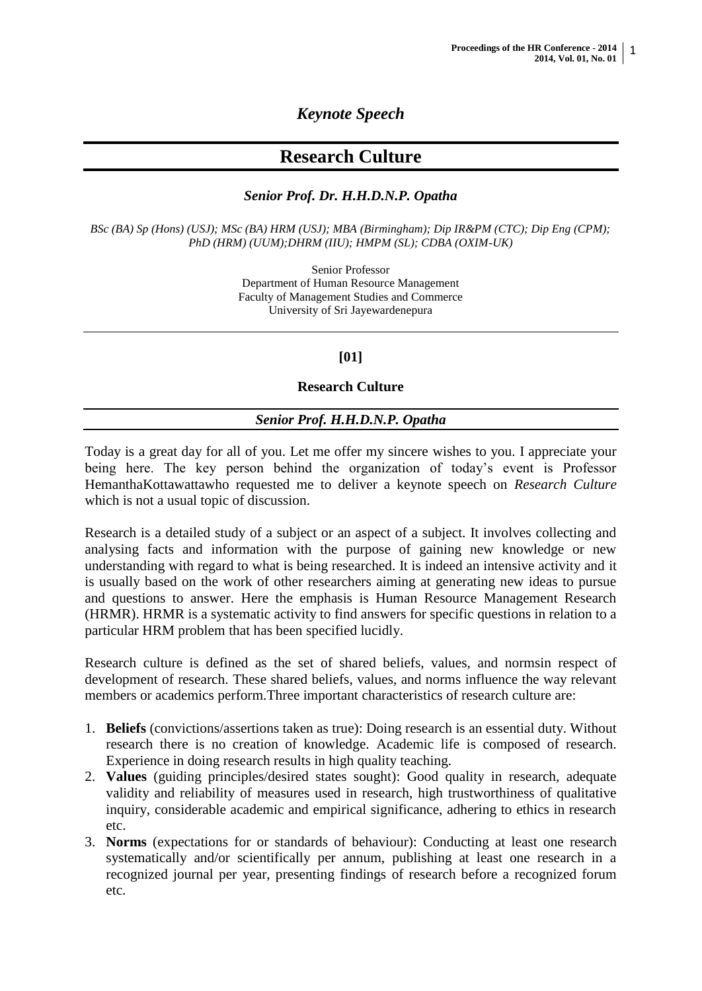## *Keynote Speech*

# **Research Culture**

## *Senior Prof. Dr. H.H.D.N.P. Opatha*

*BSc (BA) Sp (Hons) (USJ); MSc (BA) HRM (USJ); MBA (Birmingham); Dip IR&PM (CTC); Dip Eng (CPM); PhD (HRM) (UUM);DHRM (IIU); HMPM (SL); CDBA (OXIM-UK)*

> Senior Professor Department of Human Resource Management Faculty of Management Studies and Commerce University of Sri Jayewardenepura

## **[01]**

#### **Research Culture**

#### *Senior Prof. H.H.D.N.P. Opatha*

Today is a great day for all of you. Let me offer my sincere wishes to you. I appreciate your being here. The key person behind the organization of today's event is Professor HemanthaKottawattawho requested me to deliver a keynote speech on *Research Culture* which is not a usual topic of discussion.

Research is a detailed study of a subject or an aspect of a subject. It involves collecting and analysing facts and information with the purpose of gaining new knowledge or new understanding with regard to what is being researched. It is indeed an intensive activity and it is usually based on the work of other researchers aiming at generating new ideas to pursue and questions to answer. Here the emphasis is Human Resource Management Research (HRMR). HRMR is a systematic activity to find answers for specific questions in relation to a particular HRM problem that has been specified lucidly.

Research culture is defined as the set of shared beliefs, values, and normsin respect of development of research. These shared beliefs, values, and norms influence the way relevant members or academics perform.Three important characteristics of research culture are:

- 1. **Beliefs** (convictions/assertions taken as true): Doing research is an essential duty. Without research there is no creation of knowledge. Academic life is composed of research. Experience in doing research results in high quality teaching.
- 2. **Values** (guiding principles/desired states sought): Good quality in research, adequate validity and reliability of measures used in research, high trustworthiness of qualitative inquiry, considerable academic and empirical significance, adhering to ethics in research etc.
- 3. **Norms** (expectations for or standards of behaviour): Conducting at least one research systematically and/or scientifically per annum, publishing at least one research in a recognized journal per year, presenting findings of research before a recognized forum etc.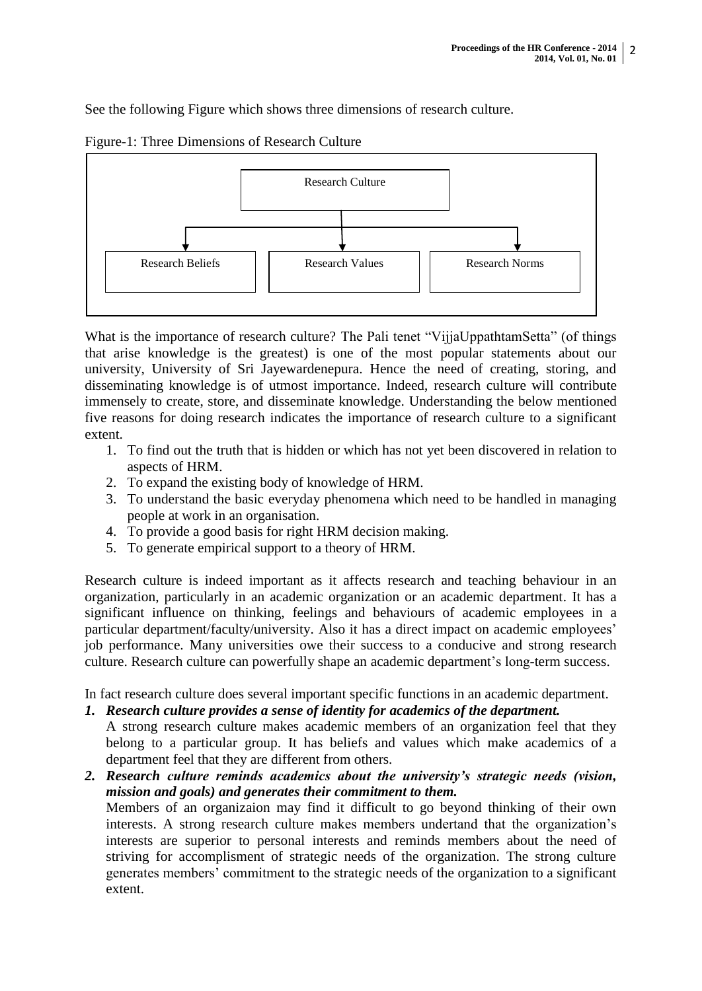See the following Figure which shows three dimensions of research culture.



Figure-1: Three Dimensions of Research Culture

What is the importance of research culture? The Pali tenet "VijjaUppathtamSetta" (of things that arise knowledge is the greatest) is one of the most popular statements about our university, University of Sri Jayewardenepura. Hence the need of creating, storing, and disseminating knowledge is of utmost importance. Indeed, research culture will contribute immensely to create, store, and disseminate knowledge. Understanding the below mentioned five reasons for doing research indicates the importance of research culture to a significant extent.

- 1. To find out the truth that is hidden or which has not yet been discovered in relation to aspects of HRM.
- 2. To expand the existing body of knowledge of HRM.
- 3. To understand the basic everyday phenomena which need to be handled in managing people at work in an organisation.
- 4. To provide a good basis for right HRM decision making.
- 5. To generate empirical support to a theory of HRM.

Research culture is indeed important as it affects research and teaching behaviour in an organization, particularly in an academic organization or an academic department. It has a significant influence on thinking, feelings and behaviours of academic employees in a particular department/faculty/university. Also it has a direct impact on academic employees' job performance. Many universities owe their success to a conducive and strong research culture. Research culture can powerfully shape an academic department's long-term success.

In fact research culture does several important specific functions in an academic department.

- *1. Research culture provides a sense of identity for academics of the department.* A strong research culture makes academic members of an organization feel that they belong to a particular group. It has beliefs and values which make academics of a department feel that they are different from others.
- *2. Research culture reminds academics about the university's strategic needs (vision, mission and goals) and generates their commitment to them.* Members of an organizaion may find it difficult to go beyond thinking of their own interests. A strong research culture makes members undertand that the organization's interests are superior to personal interests and reminds members about the need of striving for accomplisment of strategic needs of the organization. The strong culture generates members' commitment to the strategic needs of the organization to a significant extent.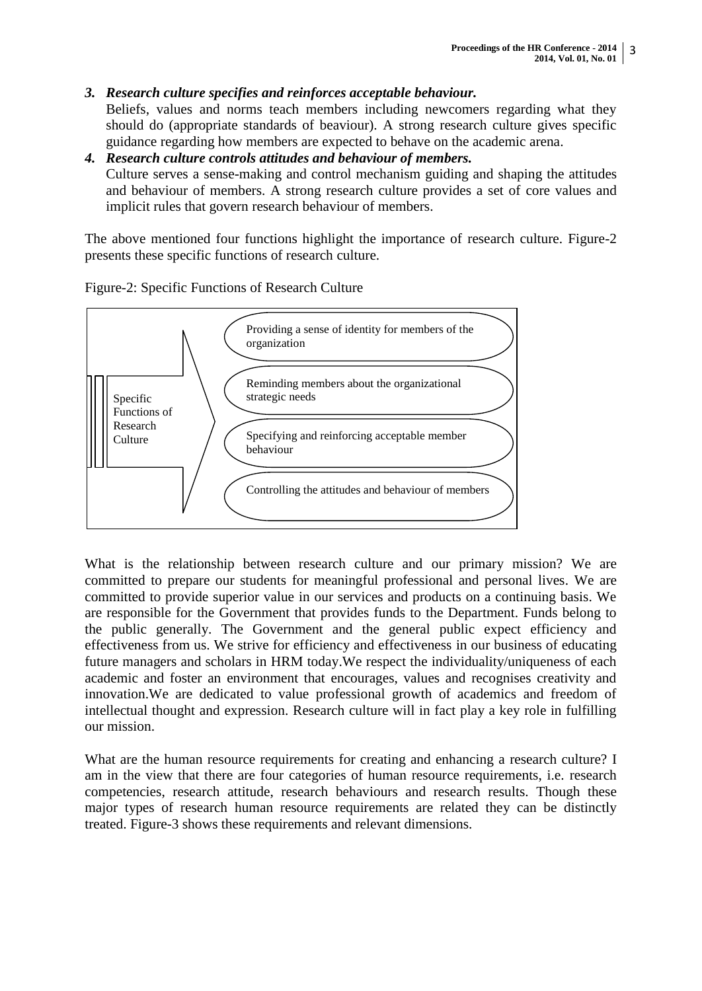## *3. Research culture specifies and reinforces acceptable behaviour.*

Beliefs, values and norms teach members including newcomers regarding what they should do (appropriate standards of beaviour). A strong research culture gives specific guidance regarding how members are expected to behave on the academic arena.

### *4. Research culture controls attitudes and behaviour of members.* Culture serves a sense-making and control mechanism guiding and shaping the attitudes and behaviour of members. A strong research culture provides a set of core values and implicit rules that govern research behaviour of members.

The above mentioned four functions highlight the importance of research culture. Figure-2 presents these specific functions of research culture.



Figure-2: Specific Functions of Research Culture

What is the relationship between research culture and our primary mission? We are committed to prepare our students for meaningful professional and personal lives. We are committed to provide superior value in our services and products on a continuing basis. We are responsible for the Government that provides funds to the Department. Funds belong to the public generally. The Government and the general public expect efficiency and effectiveness from us. We strive for efficiency and effectiveness in our business of educating future managers and scholars in HRM today.We respect the individuality/uniqueness of each academic and foster an environment that encourages, values and recognises creativity and innovation.We are dedicated to value professional growth of academics and freedom of intellectual thought and expression. Research culture will in fact play a key role in fulfilling our mission.

What are the human resource requirements for creating and enhancing a research culture? I am in the view that there are four categories of human resource requirements, i.e. research competencies, research attitude, research behaviours and research results. Though these major types of research human resource requirements are related they can be distinctly treated. Figure-3 shows these requirements and relevant dimensions.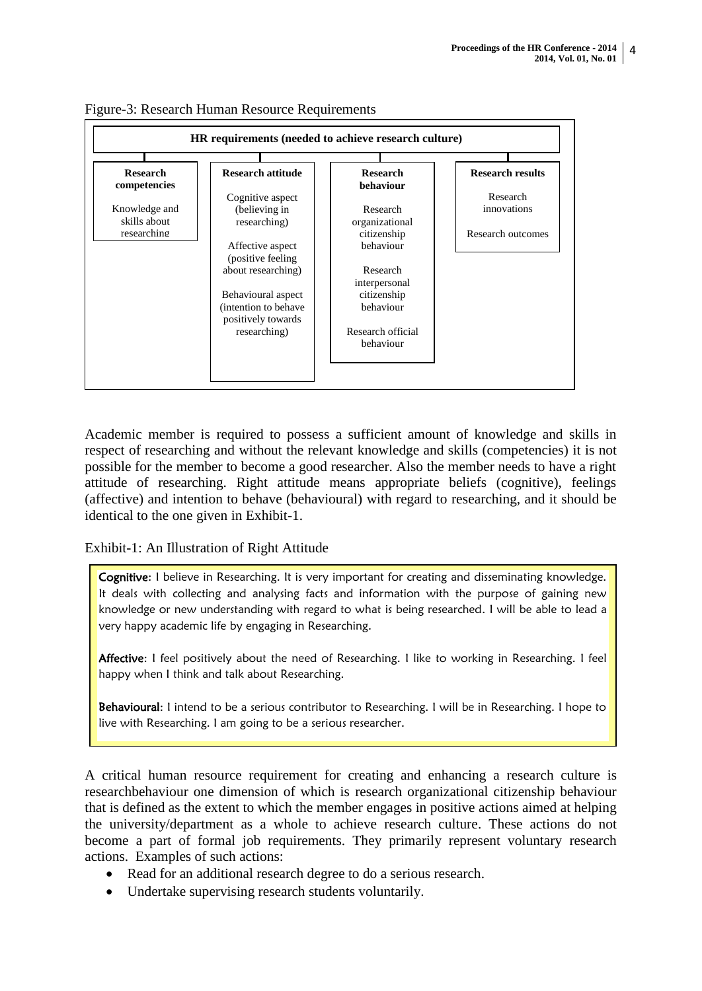

Figure-3: Research Human Resource Requirements

Academic member is required to possess a sufficient amount of knowledge and skills in respect of researching and without the relevant knowledge and skills (competencies) it is not possible for the member to become a good researcher. Also the member needs to have a right attitude of researching. Right attitude means appropriate beliefs (cognitive), feelings (affective) and intention to behave (behavioural) with regard to researching, and it should be identical to the one given in Exhibit-1.

Exhibit-1: An Illustration of Right Attitude

Cognitive: I believe in Researching. It is very important for creating and disseminating knowledge. It deals with collecting and analysing facts and information with the purpose of gaining new knowledge or new understanding with regard to what is being researched. I will be able to lead a very happy academic life by engaging in Researching.

Affective: I feel positively about the need of Researching. I like to working in Researching. I feel happy when I think and talk about Researching.

Behavioural: I intend to be a serious contributor to Researching. I will be in Researching. I hope to live with Researching. I am going to be a serious researcher.

A critical human resource requirement for creating and enhancing a research culture is researchbehaviour one dimension of which is research organizational citizenship behaviour that is defined as the extent to which the member engages in positive actions aimed at helping the university/department as a whole to achieve research culture. These actions do not become a part of formal job requirements. They primarily represent voluntary research actions. Examples of such actions:

- Read for an additional research degree to do a serious research.
- Undertake supervising research students voluntarily.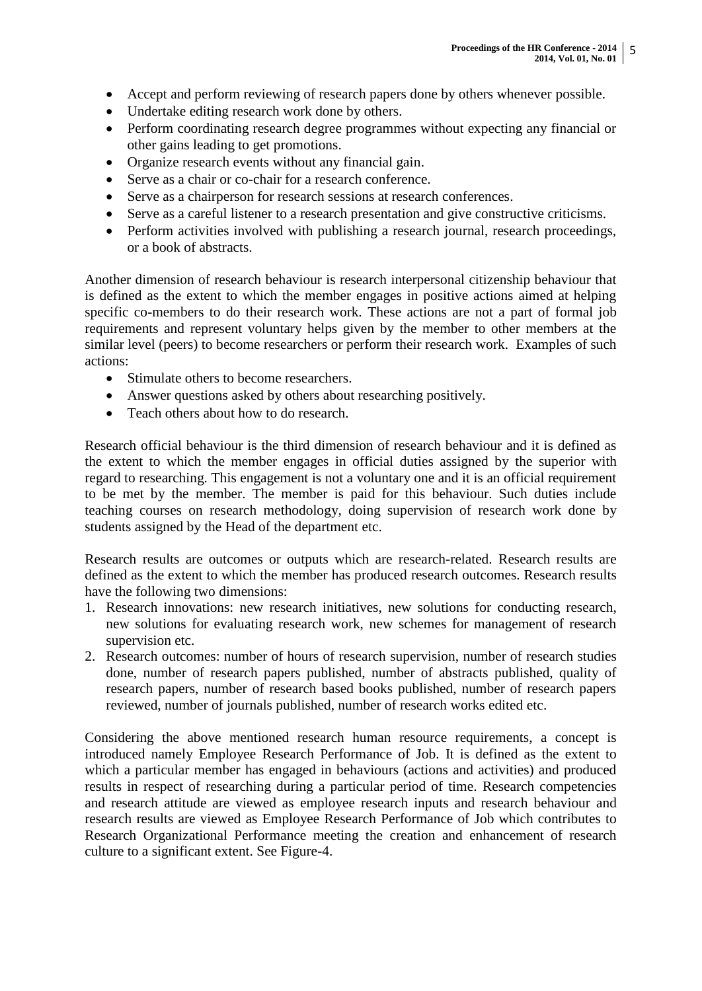- Accept and perform reviewing of research papers done by others whenever possible.
- Undertake editing research work done by others.
- Perform coordinating research degree programmes without expecting any financial or other gains leading to get promotions.
- Organize research events without any financial gain.
- Serve as a chair or co-chair for a research conference.
- Serve as a chairperson for research sessions at research conferences.
- Serve as a careful listener to a research presentation and give constructive criticisms.
- Perform activities involved with publishing a research journal, research proceedings, or a book of abstracts.

Another dimension of research behaviour is research interpersonal citizenship behaviour that is defined as the extent to which the member engages in positive actions aimed at helping specific co-members to do their research work. These actions are not a part of formal job requirements and represent voluntary helps given by the member to other members at the similar level (peers) to become researchers or perform their research work. Examples of such actions:

- Stimulate others to become researchers.
- Answer questions asked by others about researching positively.
- Teach others about how to do research.

Research official behaviour is the third dimension of research behaviour and it is defined as the extent to which the member engages in official duties assigned by the superior with regard to researching. This engagement is not a voluntary one and it is an official requirement to be met by the member. The member is paid for this behaviour. Such duties include teaching courses on research methodology, doing supervision of research work done by students assigned by the Head of the department etc.

Research results are outcomes or outputs which are research-related. Research results are defined as the extent to which the member has produced research outcomes. Research results have the following two dimensions:

- 1. Research innovations: new research initiatives, new solutions for conducting research, new solutions for evaluating research work, new schemes for management of research supervision etc.
- 2. Research outcomes: number of hours of research supervision, number of research studies done, number of research papers published, number of abstracts published, quality of research papers, number of research based books published, number of research papers reviewed, number of journals published, number of research works edited etc.

Considering the above mentioned research human resource requirements, a concept is introduced namely Employee Research Performance of Job. It is defined as the extent to which a particular member has engaged in behaviours (actions and activities) and produced results in respect of researching during a particular period of time. Research competencies and research attitude are viewed as employee research inputs and research behaviour and research results are viewed as Employee Research Performance of Job which contributes to Research Organizational Performance meeting the creation and enhancement of research culture to a significant extent. See Figure-4.